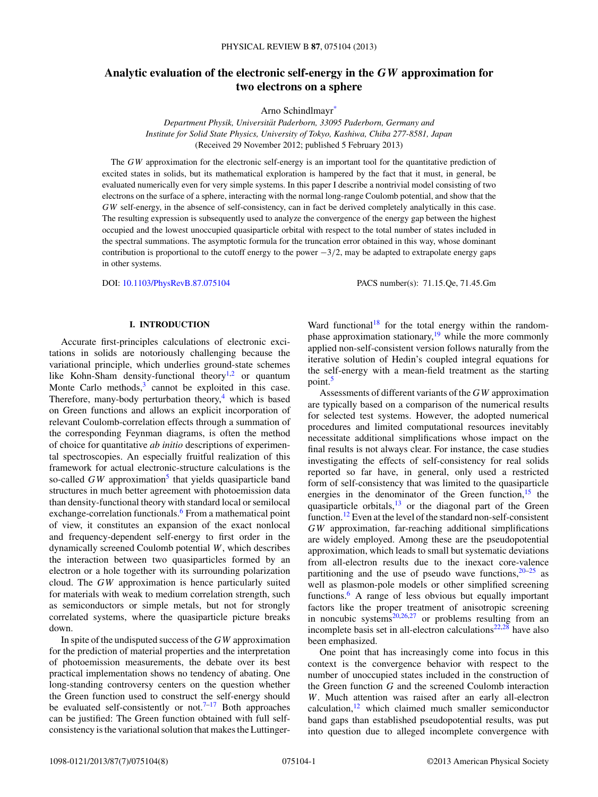# **Analytic evaluation of the electronic self-energy in the** *GW* **approximation for two electrons on a sphere**

Arno Schindlmay[r\\*](#page-6-0)

*Department Physik, Universitat Paderborn, 33095 Paderborn, Germany and ¨ Institute for Solid State Physics, University of Tokyo, Kashiwa, Chiba 277-8581, Japan* (Received 29 November 2012; published 5 February 2013)

The *GW* approximation for the electronic self-energy is an important tool for the quantitative prediction of excited states in solids, but its mathematical exploration is hampered by the fact that it must, in general, be evaluated numerically even for very simple systems. In this paper I describe a nontrivial model consisting of two electrons on the surface of a sphere, interacting with the normal long-range Coulomb potential, and show that the *GW* self-energy, in the absence of self-consistency, can in fact be derived completely analytically in this case. The resulting expression is subsequently used to analyze the convergence of the energy gap between the highest occupied and the lowest unoccupied quasiparticle orbital with respect to the total number of states included in the spectral summations. The asymptotic formula for the truncation error obtained in this way, whose dominant contribution is proportional to the cutoff energy to the power −3*/*2, may be adapted to extrapolate energy gaps in other systems.

DOI: [10.1103/PhysRevB.87.075104](http://dx.doi.org/10.1103/PhysRevB.87.075104) PACS number(s): 71*.*15*.*Qe, 71*.*45*.*Gm

### **I. INTRODUCTION**

Accurate first-principles calculations of electronic excitations in solids are notoriously challenging because the variational principle, which underlies ground-state schemes like Kohn-Sham density-functional theory<sup>1,2</sup> or quantum Monte Carlo methods, $3$  cannot be exploited in this case. Therefore, many-body perturbation theory, $4$  which is based on Green functions and allows an explicit incorporation of relevant Coulomb-correlation effects through a summation of the corresponding Feynman diagrams, is often the method of choice for quantitative *ab initio* descriptions of experimental spectroscopies. An especially fruitful realization of this framework for actual electronic-structure calculations is the so-called *GW* approximation<sup>5</sup> that yields quasiparticle band structures in much better agreement with photoemission data than density-functional theory with standard local or semilocal exchange-correlation functionals.<sup>6</sup> From a mathematical point of view, it constitutes an expansion of the exact nonlocal and frequency-dependent self-energy to first order in the dynamically screened Coulomb potential *W*, which describes the interaction between two quasiparticles formed by an electron or a hole together with its surrounding polarization cloud. The *GW* approximation is hence particularly suited for materials with weak to medium correlation strength, such as semiconductors or simple metals, but not for strongly correlated systems, where the quasiparticle picture breaks down.

In spite of the undisputed success of the *GW* approximation for the prediction of material properties and the interpretation of photoemission measurements, the debate over its best practical implementation shows no tendency of abating. One long-standing controversy centers on the question whether the Green function used to construct the self-energy should be evaluated self-consistently or not.<sup> $7-17$ </sup> Both approaches can be justified: The Green function obtained with full selfconsistency is the variational solution that makes the LuttingerWard functional<sup>18</sup> for the total energy within the randomphase approximation stationary, $19$  while the more commonly applied non-self-consistent version follows naturally from the iterative solution of Hedin's coupled integral equations for the self-energy with a mean-field treatment as the starting point.<sup>[5](#page-6-0)</sup>

Assessments of different variants of the *GW* approximation are typically based on a comparison of the numerical results for selected test systems. However, the adopted numerical procedures and limited computational resources inevitably necessitate additional simplifications whose impact on the final results is not always clear. For instance, the case studies investigating the effects of self-consistency for real solids reported so far have, in general, only used a restricted form of self-consistency that was limited to the quasiparticle energies in the denominator of the Green function,  $15$  the quasiparticle orbitals, $13$  or the diagonal part of the Green function.<sup>[12](#page-6-0)</sup> Even at the level of the standard non-self-consistent *GW* approximation, far-reaching additional simplifications are widely employed. Among these are the pseudopotential approximation, which leads to small but systematic deviations from all-electron results due to the inexact core-valence partitioning and the use of pseudo wave functions,  $20-25$  as well as plasmon-pole models or other simplified screening functions.[6](#page-6-0) A range of less obvious but equally important factors like the proper treatment of anisotropic screening in noncubic systems $20,26,27$  or problems resulting from an incomplete basis set in all-electron calculations<sup>22,28</sup> have also been emphasized.

One point that has increasingly come into focus in this context is the convergence behavior with respect to the number of unoccupied states included in the construction of the Green function *G* and the screened Coulomb interaction *W*. Much attention was raised after an early all-electron calculation, $12$  which claimed much smaller semiconductor band gaps than established pseudopotential results, was put into question due to alleged incomplete convergence with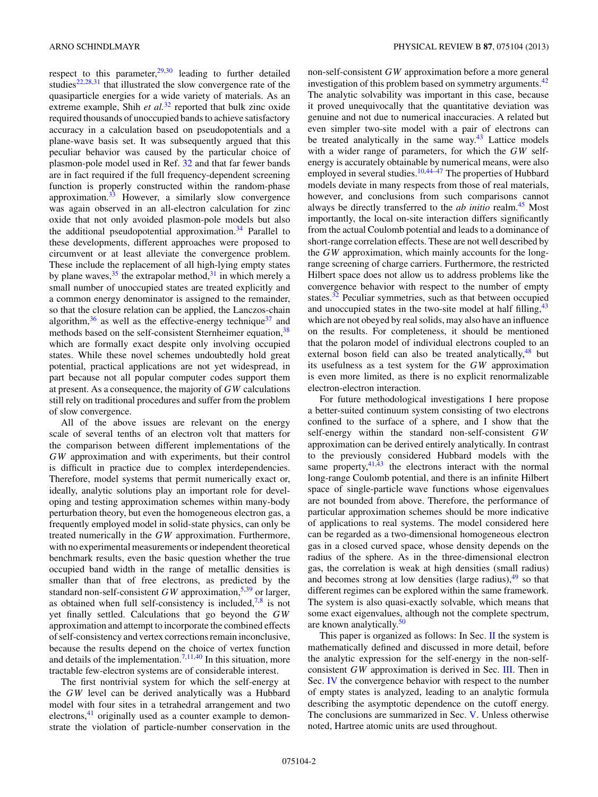respect to this parameter, $29,30$  leading to further detailed studies $22,28,31$  that illustrated the slow convergence rate of the quasiparticle energies for a wide variety of materials. As an extreme example, Shih et al.<sup>[32](#page-6-0)</sup> reported that bulk zinc oxide required thousands of unoccupied bands to achieve satisfactory accuracy in a calculation based on pseudopotentials and a plane-wave basis set. It was subsequently argued that this peculiar behavior was caused by the particular choice of plasmon-pole model used in Ref. [32](#page-6-0) and that far fewer bands are in fact required if the full frequency-dependent screening function is properly constructed within the random-phase approximation. $33$  However, a similarly slow convergence was again observed in an all-electron calculation for zinc oxide that not only avoided plasmon-pole models but also the additional pseudopotential approximation.<sup>34</sup> Parallel to these developments, different approaches were proposed to circumvent or at least alleviate the convergence problem. These include the replacement of all high-lying empty states by plane waves,  $35$  the extrapolar method,  $31$  in which merely a small number of unoccupied states are treated explicitly and a common energy denominator is assigned to the remainder, so that the closure relation can be applied, the Lanczos-chain algorithm,  $36$  as well as the effective-energy technique  $37$  and methods based on the self-consistent Sternheimer equation, [38](#page-7-0) which are formally exact despite only involving occupied states. While these novel schemes undoubtedly hold great potential, practical applications are not yet widespread, in part because not all popular computer codes support them at present. As a consequence, the majority of *GW* calculations still rely on traditional procedures and suffer from the problem of slow convergence.

All of the above issues are relevant on the energy scale of several tenths of an electron volt that matters for the comparison between different implementations of the *GW* approximation and with experiments, but their control is difficult in practice due to complex interdependencies. Therefore, model systems that permit numerically exact or, ideally, analytic solutions play an important role for developing and testing approximation schemes within many-body perturbation theory, but even the homogeneous electron gas, a frequently employed model in solid-state physics, can only be treated numerically in the *GW* approximation. Furthermore, with no experimental measurements or independent theoretical benchmark results, even the basic question whether the true occupied band width in the range of metallic densities is smaller than that of free electrons, as predicted by the standard non-self-consistent  $GW$  approximation,<sup>[5,](#page-6-0)[39](#page-7-0)</sup> or larger, as obtained when full self-consistency is included, $7,8$  is not yet finally settled. Calculations that go beyond the *GW* approximation and attempt to incorporate the combined effects of self-consistency and vertex corrections remain inconclusive, because the results depend on the choice of vertex function and details of the implementation.<sup>[7,11,](#page-6-0)[40](#page-7-0)</sup> In this situation, more tractable few-electron systems are of considerable interest.

The first nontrivial system for which the self-energy at the *GW* level can be derived analytically was a Hubbard model with four sites in a tetrahedral arrangement and two electrons,<sup>[41](#page-7-0)</sup> originally used as a counter example to demonstrate the violation of particle-number conservation in the non-self-consistent *GW* approximation before a more general investigation of this problem based on symmetry arguments.<sup>[42](#page-7-0)</sup> The analytic solvability was important in this case, because it proved unequivocally that the quantitative deviation was genuine and not due to numerical inaccuracies. A related but even simpler two-site model with a pair of electrons can be treated analytically in the same way. $43$  Lattice models with a wider range of parameters, for which the *GW* selfenergy is accurately obtainable by numerical means, were also employed in several studies.<sup>10[,44–47](#page-7-0)</sup> The properties of Hubbard models deviate in many respects from those of real materials, however, and conclusions from such comparisons cannot always be directly transferred to the *ab initio* realm.[45](#page-7-0) Most importantly, the local on-site interaction differs significantly from the actual Coulomb potential and leads to a dominance of short-range correlation effects. These are not well described by the *GW* approximation, which mainly accounts for the longrange screening of charge carriers. Furthermore, the restricted Hilbert space does not allow us to address problems like the convergence behavior with respect to the number of empty states.<sup>32</sup> Peculiar symmetries, such as that between occupied and unoccupied states in the two-site model at half filling,  $43$ which are not obeyed by real solids, may also have an influence on the results. For completeness, it should be mentioned that the polaron model of individual electrons coupled to an external boson field can also be treated analytically,  $48$  but its usefulness as a test system for the *GW* approximation is even more limited, as there is no explicit renormalizable electron-electron interaction.

For future methodological investigations I here propose a better-suited continuum system consisting of two electrons confined to the surface of a sphere, and I show that the self-energy within the standard non-self-consistent *GW* approximation can be derived entirely analytically. In contrast to the previously considered Hubbard models with the same property, $41,43$  the electrons interact with the normal long-range Coulomb potential, and there is an infinite Hilbert space of single-particle wave functions whose eigenvalues are not bounded from above. Therefore, the performance of particular approximation schemes should be more indicative of applications to real systems. The model considered here can be regarded as a two-dimensional homogeneous electron gas in a closed curved space, whose density depends on the radius of the sphere. As in the three-dimensional electron gas, the correlation is weak at high densities (small radius) and becomes strong at low densities (large radius), $49$  so that different regimes can be explored within the same framework. The system is also quasi-exactly solvable, which means that some exact eigenvalues, although not the complete spectrum, are known analytically.<sup>50</sup>

This paper is organized as follows: In Sec. [II](#page-2-0) the system is mathematically defined and discussed in more detail, before the analytic expression for the self-energy in the non-selfconsistent *GW* approximation is derived in Sec. [III.](#page-2-0) Then in Sec. [IV](#page-4-0) the convergence behavior with respect to the number of empty states is analyzed, leading to an analytic formula describing the asymptotic dependence on the cutoff energy. The conclusions are summarized in Sec. [V.](#page-5-0) Unless otherwise noted, Hartree atomic units are used throughout.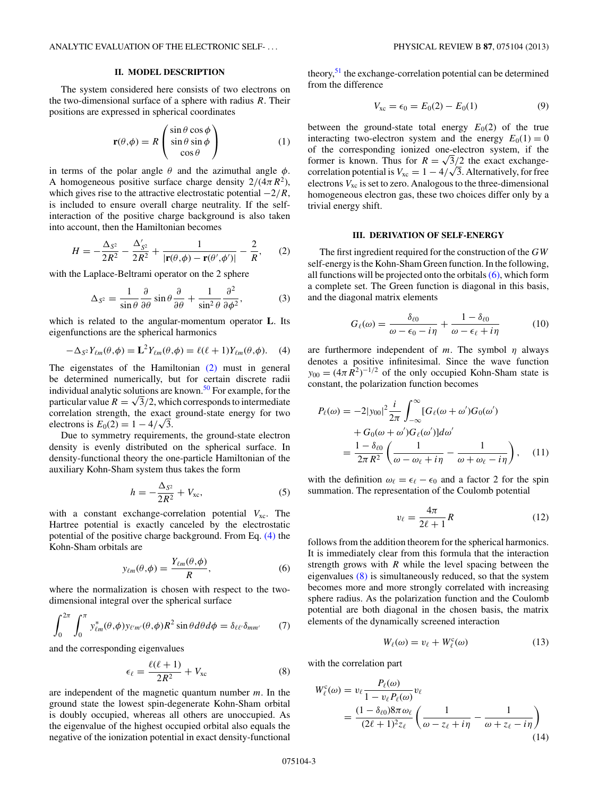## **II. MODEL DESCRIPTION**

<span id="page-2-0"></span>The system considered here consists of two electrons on the two-dimensional surface of a sphere with radius *R*. Their positions are expressed in spherical coordinates

$$
\mathbf{r}(\theta,\phi) = R \begin{pmatrix} \sin\theta\cos\phi \\ \sin\theta\sin\phi \\ \cos\theta \end{pmatrix}
$$
 (1)

in terms of the polar angle  $\theta$  and the azimuthal angle  $\phi$ . A homogeneous positive surface charge density  $2/(4\pi R^2)$ , which gives rise to the attractive electrostatic potential −2*/R*, is included to ensure overall charge neutrality. If the selfinteraction of the positive charge background is also taken into account, then the Hamiltonian becomes

$$
H = -\frac{\Delta_{S^2}}{2R^2} - \frac{\Delta'_{S^2}}{2R^2} + \frac{1}{|\mathbf{r}(\theta, \phi) - \mathbf{r}(\theta', \phi')|} - \frac{2}{R},\qquad(2)
$$

with the Laplace-Beltrami operator on the 2 sphere

$$
\Delta_{S^2} = \frac{1}{\sin \theta} \frac{\partial}{\partial \theta} \sin \theta \frac{\partial}{\partial \theta} + \frac{1}{\sin^2 \theta} \frac{\partial^2}{\partial \phi^2},
$$
(3)

which is related to the angular-momentum operator **L**. Its eigenfunctions are the spherical harmonics

$$
-\Delta_{S^2} Y_{\ell m}(\theta,\phi) = \mathbf{L}^2 Y_{\ell m}(\theta,\phi) = \ell(\ell+1) Y_{\ell m}(\theta,\phi). \tag{4}
$$

The eigenstates of the Hamiltonian (2) must in general be determined numerically, but for certain discrete radii individual analytic solutions are known.<sup>[50](#page-7-0)</sup> For example, for the particular value  $R = \sqrt{3}/2$ , which corresponds to intermediate correlation strength, the exact ground-state energy for two electrons is  $E_0(2) = 1 - 4/\sqrt{3}$ .

Due to symmetry requirements, the ground-state electron density is evenly distributed on the spherical surface. In density-functional theory the one-particle Hamiltonian of the auxiliary Kohn-Sham system thus takes the form

$$
h = -\frac{\Delta_{S^2}}{2R^2} + V_{\text{xc}},\tag{5}
$$

with a constant exchange-correlation potential  $V_{\text{xc}}$ . The Hartree potential is exactly canceled by the electrostatic potential of the positive charge background. From Eq. (4) the Kohn-Sham orbitals are

$$
y_{\ell m}(\theta,\phi) = \frac{Y_{\ell m}(\theta,\phi)}{R},\tag{6}
$$

where the normalization is chosen with respect to the twodimensional integral over the spherical surface

$$
\int_0^{2\pi} \int_0^{\pi} y_{\ell m}^*(\theta, \phi) y_{\ell' m'}(\theta, \phi) R^2 \sin \theta d\theta d\phi = \delta_{\ell \ell'} \delta_{m m'} \tag{7}
$$

and the corresponding eigenvalues

$$
\epsilon_{\ell} = \frac{\ell(\ell+1)}{2R^2} + V_{\rm xc} \tag{8}
$$

are independent of the magnetic quantum number *m*. In the ground state the lowest spin-degenerate Kohn-Sham orbital is doubly occupied, whereas all others are unoccupied. As the eigenvalue of the highest occupied orbital also equals the negative of the ionization potential in exact density-functional theory,  $51$  the exchange-correlation potential can be determined from the difference

$$
V_{\rm xc} = \epsilon_0 = E_0(2) - E_0(1) \tag{9}
$$

between the ground-state total energy  $E_0(2)$  of the true interacting two-electron system and the energy  $E_0(1) = 0$ of the corresponding ionized one-electron system, if the former is known. Thus for  $R = \sqrt{3}/2$  the exact exchangecorrelation potential is  $V_{\text{xc}} = 1 - 4/\sqrt{3}$ . Alternatively, for free electrons  $V_{\text{xc}}$  is set to zero. Analogous to the three-dimensional homogeneous electron gas, these two choices differ only by a trivial energy shift.

### **III. DERIVATION OF SELF-ENERGY**

The first ingredient required for the construction of the *GW* self-energy is the Kohn-Sham Green function. In the following, all functions will be projected onto the orbitals  $(6)$ , which form a complete set. The Green function is diagonal in this basis, and the diagonal matrix elements

$$
G_{\ell}(\omega) = \frac{\delta_{\ell 0}}{\omega - \epsilon_0 - i\eta} + \frac{1 - \delta_{\ell 0}}{\omega - \epsilon_{\ell} + i\eta} \tag{10}
$$

are furthermore independent of *m*. The symbol *η* always denotes a positive infinitesimal. Since the wave function  $y_{00} = (4\pi R^2)^{-1/2}$  of the only occupied Kohn-Sham state is constant, the polarization function becomes

$$
P_{\ell}(\omega) = -2|y_{00}|^2 \frac{i}{2\pi} \int_{-\infty}^{\infty} [G_{\ell}(\omega + \omega')G_0(\omega')+ G_0(\omega + \omega')G_{\ell}(\omega')]d\omega'= \frac{1 - \delta_{\ell 0}}{2\pi R^2} \left( \frac{1}{\omega - \omega_{\ell} + i\eta} - \frac{1}{\omega + \omega_{\ell} - i\eta} \right), \quad (11)
$$

with the definition  $\omega_{\ell} = \epsilon_{\ell} - \epsilon_0$  and a factor 2 for the spin summation. The representation of the Coulomb potential

$$
v_{\ell} = \frac{4\pi}{2\ell + 1}R\tag{12}
$$

follows from the addition theorem for the spherical harmonics. It is immediately clear from this formula that the interaction strength grows with *R* while the level spacing between the eigenvalues (8) is simultaneously reduced, so that the system becomes more and more strongly correlated with increasing sphere radius. As the polarization function and the Coulomb potential are both diagonal in the chosen basis, the matrix elements of the dynamically screened interaction

$$
W_{\ell}(\omega) = v_{\ell} + W_{\ell}^{c}(\omega)
$$
 (13)

with the correlation part

$$
W_{\ell}^{c}(\omega) = v_{\ell} \frac{P_{\ell}(\omega)}{1 - v_{\ell} P_{\ell}(\omega)} v_{\ell}
$$
  
= 
$$
\frac{(1 - \delta_{\ell 0}) 8\pi \omega_{\ell}}{(2\ell + 1)^{2} z_{\ell}} \left( \frac{1}{\omega - z_{\ell} + i\eta} - \frac{1}{\omega + z_{\ell} - i\eta} \right)
$$
(14)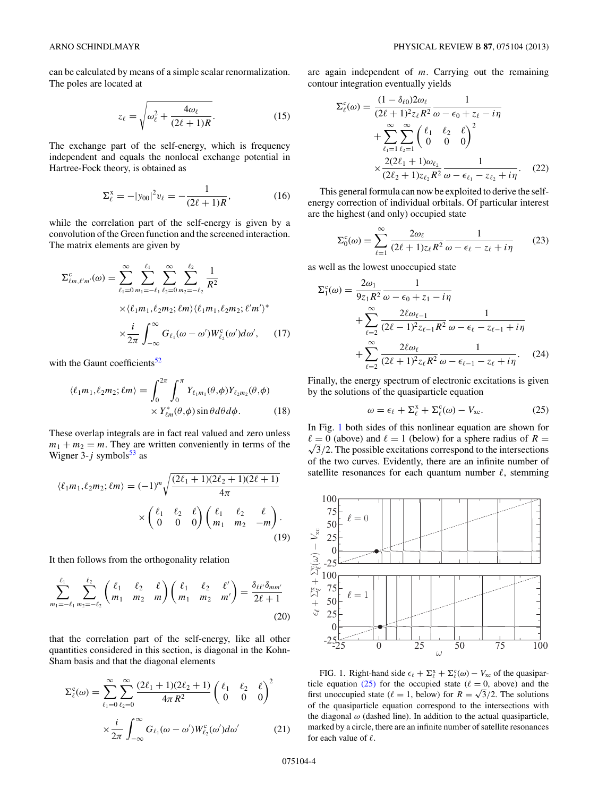<span id="page-3-0"></span>can be calculated by means of a simple scalar renormalization. The poles are located at

$$
z_{\ell} = \sqrt{\omega_{\ell}^2 + \frac{4\omega_{\ell}}{(2\ell + 1)R}}.\tag{15}
$$

The exchange part of the self-energy, which is frequency independent and equals the nonlocal exchange potential in Hartree-Fock theory, is obtained as

$$
\Sigma_{\ell}^{x} = -|y_{00}|^{2} v_{\ell} = -\frac{1}{(2\ell+1)R},
$$
 (16)

while the correlation part of the self-energy is given by a convolution of the Green function and the screened interaction. The matrix elements are given by

$$
\Sigma_{\ell m,\ell'm'}^{c}(\omega) = \sum_{\ell_1=0}^{\infty} \sum_{m_1=-\ell_1}^{\ell_1} \sum_{\ell_2=0}^{\infty} \sum_{m_2=-\ell_2}^{\ell_2} \frac{1}{R^2}
$$
  
×\langle\ell\_1m\_1,\ell\_2m\_2;\ell m\rangle\langle\ell\_1m\_1,\ell\_2m\_2;\ell'm'\rangle^\*  
×\frac{i}{2\pi} \int\_{-\infty}^{\infty} G\_{\ell\_1}(\omega - \omega')W\_{\ell\_2}^{c}(\omega')d\omega', (17)

with the Gaunt coefficients<sup>52</sup>

$$
\langle \ell_1 m_1, \ell_2 m_2; \ell m \rangle = \int_0^{2\pi} \int_0^{\pi} Y_{\ell_1 m_1}(\theta, \phi) Y_{\ell_2 m_2}(\theta, \phi)
$$

$$
\times Y_{\ell m}^*(\theta, \phi) \sin \theta d\theta d\phi.
$$
 (18)

These overlap integrals are in fact real valued and zero unless  $m_1 + m_2 = m$ . They are written conveniently in terms of the Wigner 3- $j$  symbols<sup>53</sup> as

$$
\langle \ell_1 m_1, \ell_2 m_2; \ell m \rangle = (-1)^m \sqrt{\frac{(2\ell_1 + 1)(2\ell_2 + 1)(2\ell + 1)}{4\pi}}
$$

$$
\times \begin{pmatrix} \ell_1 & \ell_2 & \ell \\ 0 & 0 & 0 \end{pmatrix} \begin{pmatrix} \ell_1 & \ell_2 & \ell \\ m_1 & m_2 & -m \end{pmatrix} . \tag{19}
$$

It then follows from the orthogonality relation

$$
\sum_{m_1=-\ell_1}^{\ell_1} \sum_{m_2=-\ell_2}^{\ell_2} \binom{\ell_1 \quad \ell_2 \quad \ell}{m_1 \quad m_2 \quad m} \binom{\ell_1 \quad \ell_2 \quad \ell'}{m_1 \quad m_2 \quad m'} = \frac{\delta_{\ell\ell'}\delta_{mm'}}{2\ell+1}
$$
(20)

that the correlation part of the self-energy, like all other quantities considered in this section, is diagonal in the Kohn-Sham basis and that the diagonal elements

$$
\Sigma_{\ell}^{c}(\omega) = \sum_{\ell_1=0}^{\infty} \sum_{\ell_2=0}^{\infty} \frac{(2\ell_1+1)(2\ell_2+1)}{4\pi R^2} \begin{pmatrix} \ell_1 & \ell_2 & \ell \\ 0 & 0 & 0 \end{pmatrix}^2
$$

$$
\times \frac{i}{2\pi} \int_{-\infty}^{\infty} G_{\ell_1}(\omega-\omega') W_{\ell_2}^{c}(\omega') d\omega'
$$
(21)

are again independent of *m*. Carrying out the remaining contour integration eventually yields

$$
\Sigma_{\ell}^{c}(\omega) = \frac{(1 - \delta_{\ell 0})2\omega_{\ell}}{(2\ell + 1)^{2}z_{\ell}R^{2}} \frac{1}{\omega - \epsilon_{0} + z_{\ell} - i\eta} \n+ \sum_{\ell_{1}=1}^{\infty} \sum_{\ell_{2}=1}^{\infty} \left(\begin{array}{cc} \ell_{1} & \ell_{2} & \ell\\ 0 & 0 & 0 \end{array}\right)^{2} \n\times \frac{2(2\ell_{1} + 1)\omega_{\ell_{2}}}{(2\ell_{2} + 1)z_{\ell_{2}}R^{2}} \frac{1}{\omega - \epsilon_{\ell_{1}} - z_{\ell_{2}} + i\eta}.
$$
\n(22)

This general formula can now be exploited to derive the selfenergy correction of individual orbitals. Of particular interest are the highest (and only) occupied state

$$
\Sigma_0^c(\omega) = \sum_{\ell=1}^{\infty} \frac{2\omega_\ell}{(2\ell+1)z_\ell R^2} \frac{1}{\omega - \epsilon_\ell - z_\ell + i\eta} \qquad (23)
$$

as well as the lowest unoccupied state

$$
\Sigma_1^c(\omega) = \frac{2\omega_1}{9z_1R^2} \frac{1}{\omega - \epsilon_0 + z_1 - i\eta} \n+ \sum_{\ell=2}^{\infty} \frac{2\ell\omega_{\ell-1}}{(2\ell-1)^2 z_{\ell-1}R^2} \frac{1}{\omega - \epsilon_{\ell} - z_{\ell-1} + i\eta} \n+ \sum_{\ell=2}^{\infty} \frac{2\ell\omega_{\ell}}{(2\ell+1)^2 z_{\ell}R^2} \frac{1}{\omega - \epsilon_{\ell-1} - z_{\ell} + i\eta}.
$$
\n(24)

Finally, the energy spectrum of electronic excitations is given by the solutions of the quasiparticle equation

$$
\omega = \epsilon_{\ell} + \Sigma_{\ell}^{x} + \Sigma_{\ell}^{c}(\omega) - V_{xc}.
$$
 (25)

In Fig. 1 both sides of this nonlinear equation are shown for  $\ell = 0$  (above) and  $\ell = 1$  (below) for a sphere radius of  $R = \sqrt{3}/2$ . The possible excitations correspond to the intersections  $\sqrt{3}/2$ . The possible excitations correspond to the intersections of the two curves. Evidently, there are an infinite number of satellite resonances for each quantum number  $\ell$ , stemming



FIG. 1. Right-hand side  $\epsilon_{\ell} + \Sigma_{\ell}^x + \Sigma_{\ell}^c(\omega) - V_{\text{xc}}$  of the quasiparticle equation (25) for the occupied state ( $\ell = 0$ , above) and the first unoccupied state ( $\ell = 1$ , below) for  $R = \sqrt{3}/2$ . The solutions of the quasiparticle equation correspond to the intersections with the diagonal  $\omega$  (dashed line). In addition to the actual quasiparticle, marked by a circle, there are an infinite number of satellite resonances for each value of  $\ell$ .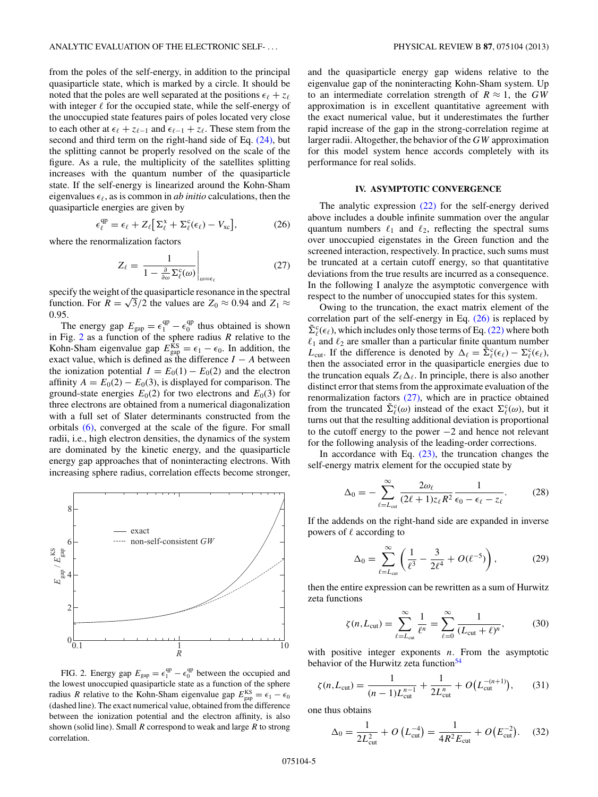<span id="page-4-0"></span>from the poles of the self-energy, in addition to the principal quasiparticle state, which is marked by a circle. It should be noted that the poles are well separated at the positions  $\epsilon_{\ell} + z_{\ell}$ with integer  $\ell$  for the occupied state, while the self-energy of the unoccupied state features pairs of poles located very close to each other at  $\epsilon_{\ell} + z_{\ell-1}$  and  $\epsilon_{\ell-1} + z_{\ell}$ . These stem from the second and third term on the right-hand side of Eq.  $(24)$ , but the splitting cannot be properly resolved on the scale of the figure. As a rule, the multiplicity of the satellites splitting increases with the quantum number of the quasiparticle state. If the self-energy is linearized around the Kohn-Sham eigenvalues  $\epsilon_{\ell}$ , as is common in *ab initio* calculations, then the quasiparticle energies are given by

$$
\epsilon_{\ell}^{\rm qp} = \epsilon_{\ell} + Z_{\ell} \big[ \Sigma_{\ell}^{\rm x} + \Sigma_{\ell}^{\rm c} (\epsilon_{\ell}) - V_{\rm xc} \big], \tag{26}
$$

where the renormalization factors

$$
Z_{\ell} = \left. \frac{1}{1 - \frac{\partial}{\partial \omega} \Sigma_{\ell}^{c}(\omega)} \right|_{\omega = \epsilon_{\ell}} \tag{27}
$$

specify the weight of the quasiparticle resonance in the spectral function. For  $R = \sqrt{3}/2$  the values are  $Z_0 \approx 0.94$  and  $Z_1 \approx$ 0*.*95.

The energy gap  $E_{\text{gap}} = \epsilon_1^{\text{qp}} - \epsilon_0^{\text{qp}}$  thus obtained is shown in Fig. 2 as a function of the sphere radius *R* relative to the Kohn-Sham eigenvalue gap  $E_{\text{gap}}^{\text{KS}} = \epsilon_1 - \epsilon_0$ . In addition, the exact value, which is defined as the difference  $I - A$  between the ionization potential  $I = E_0(1) - E_0(2)$  and the electron affinity  $A = E_0(2) - E_0(3)$ , is displayed for comparison. The ground-state energies  $E_0(2)$  for two electrons and  $E_0(3)$  for three electrons are obtained from a numerical diagonalization with a full set of Slater determinants constructed from the orbitals [\(6\),](#page-2-0) converged at the scale of the figure. For small radii, i.e., high electron densities, the dynamics of the system are dominated by the kinetic energy, and the quasiparticle energy gap approaches that of noninteracting electrons. With increasing sphere radius, correlation effects become stronger,



FIG. 2. Energy gap  $E_{\text{gap}} = \epsilon_1^{\text{qp}} - \epsilon_0^{\text{qp}}$  between the occupied and the lowest unoccupied quasiparticle state as a function of the sphere radius *R* relative to the Kohn-Sham eigenvalue gap  $E_{\text{gap}}^{\text{KS}} = \epsilon_1 - \epsilon_0$ (dashed line). The exact numerical value, obtained from the difference between the ionization potential and the electron affinity, is also shown (solid line). Small *R* correspond to weak and large *R* to strong correlation.

and the quasiparticle energy gap widens relative to the eigenvalue gap of the noninteracting Kohn-Sham system. Up to an intermediate correlation strength of  $R \approx 1$ , the *GW* approximation is in excellent quantitative agreement with the exact numerical value, but it underestimates the further rapid increase of the gap in the strong-correlation regime at larger radii. Altogether, the behavior of the *GW* approximation for this model system hence accords completely with its performance for real solids.

## **IV. ASYMPTOTIC CONVERGENCE**

The analytic expression [\(22\)](#page-3-0) for the self-energy derived above includes a double infinite summation over the angular quantum numbers  $\ell_1$  and  $\ell_2$ , reflecting the spectral sums over unoccupied eigenstates in the Green function and the screened interaction, respectively. In practice, such sums must be truncated at a certain cutoff energy, so that quantitative deviations from the true results are incurred as a consequence. In the following I analyze the asymptotic convergence with respect to the number of unoccupied states for this system.

Owing to the truncation, the exact matrix element of the correlation part of the self-energy in Eq. (26) is replaced by  $\tilde{\Sigma}_{\ell}^{c}(\epsilon_{\ell})$ , which includes only those terms of Eq. [\(22\)](#page-3-0) where both  $\ell_1$  and  $\ell_2$  are smaller than a particular finite quantum number *L*<sub>cut</sub>. If the difference is denoted by  $\Delta_{\ell} = \tilde{\Sigma}_{\ell}^{c}(\epsilon_{\ell}) - \Sigma_{\ell}^{c}(\epsilon_{\ell}),$ then the associated error in the quasiparticle energies due to the truncation equals  $Z_{\ell} \Delta_{\ell}$ . In principle, there is also another distinct error that stems from the approximate evaluation of the renormalization factors (27), which are in practice obtained from the truncated  $\tilde{\Sigma}_{\ell}^{c}(\omega)$  instead of the exact  $\Sigma_{\ell}^{c}(\omega)$ , but it turns out that the resulting additional deviation is proportional to the cutoff energy to the power −2 and hence not relevant for the following analysis of the leading-order corrections.

In accordance with Eq.  $(23)$ , the truncation changes the self-energy matrix element for the occupied state by

$$
\Delta_0 = -\sum_{\ell=L_{\text{cut}}}^{\infty} \frac{2\omega_{\ell}}{(2\ell+1)z_{\ell}R^2} \frac{1}{\epsilon_0 - \epsilon_{\ell} - z_{\ell}}.
$$
 (28)

If the addends on the right-hand side are expanded in inverse powers of  $\ell$  according to

$$
\Delta_0 = \sum_{\ell=L_{\text{cut}}}^{\infty} \left( \frac{1}{\ell^3} - \frac{3}{2\ell^4} + O(\ell^{-5}) \right), \tag{29}
$$

then the entire expression can be rewritten as a sum of Hurwitz zeta functions

$$
\zeta(n,L_{\text{cut}}) = \sum_{\ell=L_{\text{cut}}}^{\infty} \frac{1}{\ell^n} = \sum_{\ell=0}^{\infty} \frac{1}{(L_{\text{cut}}+\ell)^n},\tag{30}
$$

with positive integer exponents *n*. From the asymptotic behavior of the Hurwitz zeta function $54$ 

$$
\zeta(n, L_{\text{cut}}) = \frac{1}{(n-1)L_{\text{cut}}^{n-1}} + \frac{1}{2L_{\text{cut}}^n} + O\big(L_{\text{cut}}^{-(n+1)}\big),\qquad(31)
$$

one thus obtains

$$
\Delta_0 = \frac{1}{2L_{\text{cut}}^2} + O\left(L_{\text{cut}}^{-4}\right) = \frac{1}{4R^2 E_{\text{cut}}} + O\left(E_{\text{cut}}^{-2}\right). \quad (32)
$$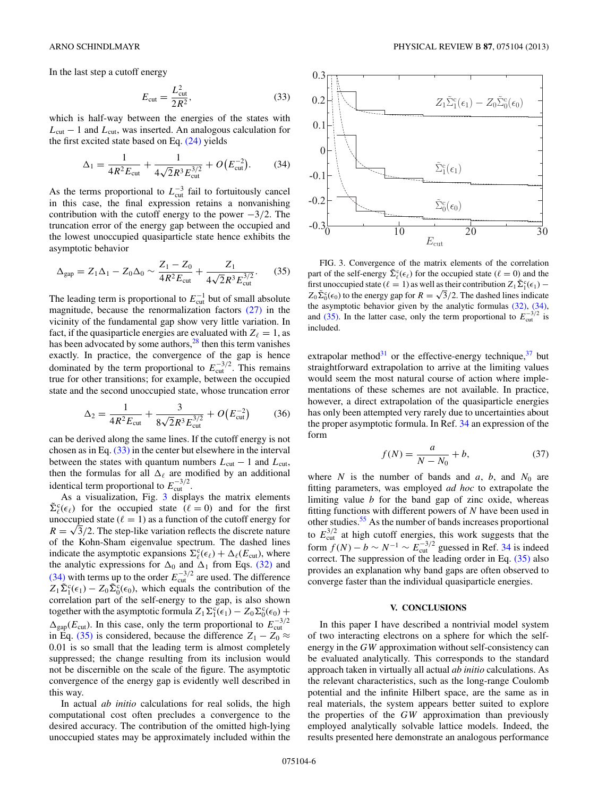<span id="page-5-0"></span>In the last step a cutoff energy

$$
E_{\rm cut} = \frac{L_{\rm cut}^2}{2R^2},\tag{33}
$$

which is half-way between the energies of the states with  $L_{\text{cut}}$  − 1 and  $L_{\text{cut}}$ , was inserted. An analogous calculation for the first excited state based on Eq. [\(24\)](#page-3-0) yields

$$
\Delta_1 = \frac{1}{4R^2 E_{\text{cut}}} + \frac{1}{4\sqrt{2}R^3 E_{\text{cut}}^{3/2}} + O(E_{\text{cut}}^{-2}).
$$
 (34)

As the terms proportional to  $L_{\text{cut}}^{-3}$  fail to fortuitously cancel in this case, the final expression retains a nonvanishing contribution with the cutoff energy to the power −3*/*2. The truncation error of the energy gap between the occupied and the lowest unoccupied quasiparticle state hence exhibits the asymptotic behavior

$$
\Delta_{\rm gap} = Z_1 \Delta_1 - Z_0 \Delta_0 \sim \frac{Z_1 - Z_0}{4R^2 E_{\rm cut}} + \frac{Z_1}{4\sqrt{2}R^3 E_{\rm cut}^{3/2}}.\tag{35}
$$

The leading term is proportional to  $E_{\text{cut}}^{-1}$  but of small absolute magnitude, because the renormalization factors [\(27\)](#page-4-0) in the vicinity of the fundamental gap show very little variation. In fact, if the quasiparticle energies are evaluated with  $Z_{\ell} = 1$ , as has been advocated by some authors, $28$  then this term vanishes exactly. In practice, the convergence of the gap is hence dominated by the term proportional to  $E_{\text{cut}}^{-3/2}$ . This remains true for other transitions; for example, between the occupied state and the second unoccupied state, whose truncation error

$$
\Delta_2 = \frac{1}{4R^2 E_{\text{cut}}} + \frac{3}{8\sqrt{2}R^3 E_{\text{cut}}^{3/2}} + O(E_{\text{cut}}^{-2})
$$
(36)

can be derived along the same lines. If the cutoff energy is not chosen as in Eq. (33) in the center but elsewhere in the interval between the states with quantum numbers  $L_{\text{cut}} - 1$  and  $L_{\text{cut}}$ , then the formulas for all  $\Delta_{\ell}$  are modified by an additional identical term proportional to  $E_{\text{cut}}^{-3/2}$ .

As a visualization, Fig. 3 displays the matrix elements  $\tilde{\Sigma}_{\ell}^{c}(\epsilon_{\ell})$  for the occupied state  $(\ell = 0)$  and for the first unoccupied state ( $\ell = 1$ ) as a function of the cutoff energy for  $R = \sqrt{3}/2$ . The step-like variation reflects the discrete nature of the Kohn-Sham eigenvalue spectrum. The dashed lines indicate the asymptotic expansions  $\Sigma_{\ell}^{c}(\epsilon_{\ell}) + \Delta_{\ell}(E_{\text{cut}})$ , where the analytic expressions for  $\Delta_0$  and  $\Delta_1$  from Eqs. [\(32\)](#page-4-0) and  $(34)$  with terms up to the order  $E_{\text{cut}}^{-3/2}$  are used. The difference  $Z_1 \tilde{\Sigma}_1^c(\epsilon_1) - Z_0 \tilde{\Sigma}_0^c(\epsilon_0)$ , which equals the contribution of the correlation part of the self-energy to the gap, is also shown together with the asymptotic formula  $Z_1 \Sigma_1^c(\epsilon_1) - Z_0 \Sigma_0^c(\epsilon_0) +$  $\Delta_{\rm{gap}}(E_{\rm{cut}})$ . In this case, only the term proportional to  $E_{\rm{cut}}^{-3/2}$ in Eq. (35) is considered, because the difference  $Z_1 - Z_0 \approx$ 0*.*01 is so small that the leading term is almost completely suppressed; the change resulting from its inclusion would not be discernible on the scale of the figure. The asymptotic convergence of the energy gap is evidently well described in this way.

In actual *ab initio* calculations for real solids, the high computational cost often precludes a convergence to the desired accuracy. The contribution of the omitted high-lying unoccupied states may be approximately included within the

 $-0.3\frac{1}{0}$  10  $\frac{1}{20}$  30 -0.2 -0.1 0  $0.1$ 0.2 0.3  $\tilde{\Sigma}_0^c(\epsilon_0)$  $\tilde{\Sigma}^c_1(\epsilon_1)$  $Z_1 \tilde{\Sigma}_1^c(\epsilon_1) - Z_0 \tilde{\Sigma}_0^c(\epsilon_0)$ 

FIG. 3. Convergence of the matrix elements of the correlation part of the self-energy  $\tilde{\Sigma}_{\ell}^c(\epsilon_{\ell})$  for the occupied state  $(\ell = 0)$  and the first unoccupied state ( $\ell = 1$ ) as well as their contribution  $Z_1 \tilde{\Sigma}_1^c(\epsilon_1)$  –  $Z_0 \tilde{\Sigma}_0^c(\epsilon_0)$  to the energy gap for  $R = \sqrt{3}/2$ . The dashed lines indicate the asymptotic behavior given by the analytic formulas [\(32\),](#page-4-0) (34), and (35). In the latter case, only the term proportional to  $E_{\text{cut}}^{-3/2}$  $i^{3/2}$  is included.

 $E_{\rm cut}$ 

extrapolar method $31$  or the effective-energy technique,  $37$  but straightforward extrapolation to arrive at the limiting values would seem the most natural course of action where implementations of these schemes are not available. In practice, however, a direct extrapolation of the quasiparticle energies has only been attempted very rarely due to uncertainties about the proper asymptotic formula. In Ref. [34](#page-7-0) an expression of the form

$$
f(N) = \frac{a}{N - N_0} + b,\tag{37}
$$

where *N* is the number of bands and *a*, *b*, and  $N_0$  are fitting parameters, was employed *ad hoc* to extrapolate the limiting value *b* for the band gap of zinc oxide, whereas fitting functions with different powers of *N* have been used in other studies.<sup>[55](#page-7-0)</sup> As the number of bands increases proportional to  $E_{\text{cut}}^{3/2}$  at high cutoff energies, this work suggests that the form  $f(N) - b \sim N^{-1} \sim E_{\text{cut}}^{-3/2}$  guessed in Ref. [34](#page-7-0) is indeed correct. The suppression of the leading order in Eq. (35) also provides an explanation why band gaps are often observed to converge faster than the individual quasiparticle energies.

### **V. CONCLUSIONS**

In this paper I have described a nontrivial model system of two interacting electrons on a sphere for which the selfenergy in the *GW* approximation without self-consistency can be evaluated analytically. This corresponds to the standard approach taken in virtually all actual *ab initio* calculations. As the relevant characteristics, such as the long-range Coulomb potential and the infinite Hilbert space, are the same as in real materials, the system appears better suited to explore the properties of the *GW* approximation than previously employed analytically solvable lattice models. Indeed, the results presented here demonstrate an analogous performance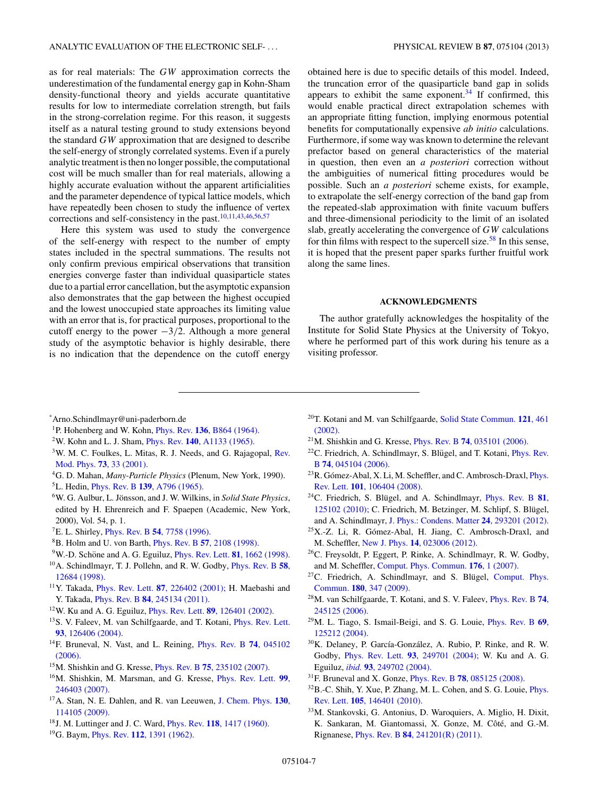<span id="page-6-0"></span>as for real materials: The *GW* approximation corrects the underestimation of the fundamental energy gap in Kohn-Sham density-functional theory and yields accurate quantitative results for low to intermediate correlation strength, but fails in the strong-correlation regime. For this reason, it suggests itself as a natural testing ground to study extensions beyond the standard *GW* approximation that are designed to describe the self-energy of strongly correlated systems. Even if a purely analytic treatment is then no longer possible, the computational cost will be much smaller than for real materials, allowing a highly accurate evaluation without the apparent artificialities and the parameter dependence of typical lattice models, which have repeatedly been chosen to study the influence of vertex corrections and self-consistency in the past.10,11[,43,46,56,57](#page-7-0)

Here this system was used to study the convergence of the self-energy with respect to the number of empty states included in the spectral summations. The results not only confirm previous empirical observations that transition energies converge faster than individual quasiparticle states due to a partial error cancellation, but the asymptotic expansion also demonstrates that the gap between the highest occupied and the lowest unoccupied state approaches its limiting value with an error that is, for practical purposes, proportional to the cutoff energy to the power −3*/*2. Although a more general study of the asymptotic behavior is highly desirable, there is no indication that the dependence on the cutoff energy obtained here is due to specific details of this model. Indeed, the truncation error of the quasiparticle band gap in solids appears to exhibit the same exponent. $34$  If confirmed, this would enable practical direct extrapolation schemes with an appropriate fitting function, implying enormous potential benefits for computationally expensive *ab initio* calculations. Furthermore, if some way was known to determine the relevant prefactor based on general characteristics of the material in question, then even an *a posteriori* correction without the ambiguities of numerical fitting procedures would be possible. Such an *a posteriori* scheme exists, for example, to extrapolate the self-energy correction of the band gap from the repeated-slab approximation with finite vacuum buffers and three-dimensional periodicity to the limit of an isolated slab, greatly accelerating the convergence of *GW* calculations for thin films with respect to the supercell size.<sup>58</sup> In this sense, it is hoped that the present paper sparks further fruitful work along the same lines.

## **ACKNOWLEDGMENTS**

The author gratefully acknowledges the hospitality of the Institute for Solid State Physics at the University of Tokyo, where he performed part of this work during his tenure as a visiting professor.

- \* Arno.Schindlmayr@uni-paderborn.de
- 1P. Hohenberg and W. Kohn, Phys. Rev. **136**[, B864 \(1964\).](http://dx.doi.org/10.1103/PhysRev.136.B864)
- 2W. Kohn and L. J. Sham, Phys. Rev. **140**[, A1133 \(1965\).](http://dx.doi.org/10.1103/PhysRev.140.A1133)
- <sup>3</sup>W. M. C. Foulkes, L. Mitas, R. J. Needs, and G. Rajagopal, [Rev.](http://dx.doi.org/10.1103/RevModPhys.73.33) Mod. Phys. **73**[, 33 \(2001\).](http://dx.doi.org/10.1103/RevModPhys.73.33)
- 4G. D. Mahan, *Many-Particle Physics* (Plenum, New York, 1990).

5L. Hedin, Phys. Rev. B **139**[, A796 \(1965\).](http://dx.doi.org/10.1103/PhysRev.139.A796)

- <sup>6</sup>W. G. Aulbur, L. Jönsson, and J. W. Wilkins, in Solid State Physics, edited by H. Ehrenreich and F. Spaepen (Academic, New York, 2000), Vol. 54, p. 1.
- 7E. L. Shirley, Phys. Rev. B **54**[, 7758 \(1996\).](http://dx.doi.org/10.1103/PhysRevB.54.7758)
- 8B. Holm and U. von Barth, Phys. Rev. B **57**[, 2108 \(1998\).](http://dx.doi.org/10.1103/PhysRevB.57.2108)
- <sup>9</sup>W.-D. Schöne and A. G. Eguiluz, *[Phys. Rev. Lett.](http://dx.doi.org/10.1103/PhysRevLett.81.1662)* **81**, 1662 (1998).
- 10A. Schindlmayr, T. J. Pollehn, and R. W. Godby, [Phys. Rev. B](http://dx.doi.org/10.1103/PhysRevB.58.12684) **58**, [12684 \(1998\).](http://dx.doi.org/10.1103/PhysRevB.58.12684)
- 11Y. Takada, Phys. Rev. Lett. **87**[, 226402 \(2001\);](http://dx.doi.org/10.1103/PhysRevLett.87.226402) H. Maebashi and Y. Takada, Phys. Rev. B **84**[, 245134 \(2011\).](http://dx.doi.org/10.1103/PhysRevB.84.245134)
- 12W. Ku and A. G. Eguiluz, Phys. Rev. Lett. **89**[, 126401 \(2002\).](http://dx.doi.org/10.1103/PhysRevLett.89.126401)
- 13S. V. Faleev, M. van Schilfgaarde, and T. Kotani, [Phys. Rev. Lett.](http://dx.doi.org/10.1103/PhysRevLett.93.126406) **93**[, 126406 \(2004\).](http://dx.doi.org/10.1103/PhysRevLett.93.126406)
- 14F. Bruneval, N. Vast, and L. Reining, [Phys. Rev. B](http://dx.doi.org/10.1103/PhysRevB.74.045102) **74**, 045102 [\(2006\).](http://dx.doi.org/10.1103/PhysRevB.74.045102)
- 15M. Shishkin and G. Kresse, Phys. Rev. B **75**[, 235102 \(2007\).](http://dx.doi.org/10.1103/PhysRevB.75.235102)
- 16M. Shishkin, M. Marsman, and G. Kresse, [Phys. Rev. Lett.](http://dx.doi.org/10.1103/PhysRevLett.99.246403) **99**, [246403 \(2007\).](http://dx.doi.org/10.1103/PhysRevLett.99.246403)
- 17A. Stan, N. E. Dahlen, and R. van Leeuwen, [J. Chem. Phys.](http://dx.doi.org/10.1063/1.3089567) **130**, [114105 \(2009\).](http://dx.doi.org/10.1063/1.3089567)
- 18J. M. Luttinger and J. C. Ward, Phys. Rev. **118**[, 1417 \(1960\).](http://dx.doi.org/10.1103/PhysRev.118.1417)
- 19G. Baym, Phys. Rev. **112**[, 1391 \(1962\).](http://dx.doi.org/10.1103/PhysRev.127.1391)
- 20T. Kotani and M. van Schilfgaarde, [Solid State Commun.](http://dx.doi.org/10.1016/S0038-1098(02)00028-5) **121**, 461 [\(2002\).](http://dx.doi.org/10.1016/S0038-1098(02)00028-5)
- 21M. Shishkin and G. Kresse, Phys. Rev. B **74**[, 035101 \(2006\).](http://dx.doi.org/10.1103/PhysRevB.74.035101)
- $22$ C. Friedrich, A. Schindlmayr, S. Blügel, and T. Kotani, *[Phys. Rev.](http://dx.doi.org/10.1103/PhysRevB.74.045104)* B **74**[, 045104 \(2006\).](http://dx.doi.org/10.1103/PhysRevB.74.045104)
- $^{23}R$ . Gómez-Abal, X. Li, M. Scheffler, and C. Ambrosch-Draxl, *[Phys.](http://dx.doi.org/10.1103/PhysRevLett.101.106404)* Rev. Lett. **101**[, 106404 \(2008\).](http://dx.doi.org/10.1103/PhysRevLett.101.106404)
- $24$ C. Friedrich, S. Blügel, and A. Schindlmayr, *[Phys. Rev. B](http://dx.doi.org/10.1103/PhysRevB.81.125102)* 81, [125102 \(2010\);](http://dx.doi.org/10.1103/PhysRevB.81.125102) C. Friedrich, M. Betzinger, M. Schlipf, S. Blügel, and A. Schindlmayr, [J. Phys.: Condens. Matter](http://dx.doi.org/10.1088/0953-8984/24/29/293201) **24**, 293201 (2012).
- <sup>25</sup>X.-Z. Li, R. Gómez-Abal, H. Jiang, C. Ambrosch-Draxl, and M. Scheffler, New J. Phys. **14**[, 023006 \(2012\).](http://dx.doi.org/10.1088/1367-2630/14/2/023006)
- 26C. Freysoldt, P. Eggert, P. Rinke, A. Schindlmayr, R. W. Godby, and M. Scheffler, [Comput. Phys. Commun.](http://dx.doi.org/10.1016/j.cpc.2006.07.018) **176**, 1 (2007).
- <sup>27</sup>C. Friedrich, A. Schindlmayr, and S. Blügel, [Comput. Phys.](http://dx.doi.org/10.1016/j.cpc.2008.10.009) Commun. **180**[, 347 \(2009\).](http://dx.doi.org/10.1016/j.cpc.2008.10.009)
- 28M. van Schilfgaarde, T. Kotani, and S. V. Faleev, [Phys. Rev. B](http://dx.doi.org/10.1103/PhysRevB.74.245125) **74**, [245125 \(2006\).](http://dx.doi.org/10.1103/PhysRevB.74.245125)
- 29M. L. Tiago, S. Ismail-Beigi, and S. G. Louie, [Phys. Rev. B](http://dx.doi.org/10.1103/PhysRevB.69.125212) **69**, [125212 \(2004\).](http://dx.doi.org/10.1103/PhysRevB.69.125212)
- $30$ K. Delaney, P. García-González, A. Rubio, P. Rinke, and R. W. Godby, Phys. Rev. Lett. **93**[, 249701 \(2004\);](http://dx.doi.org/10.1103/PhysRevLett.93.249701) W. Ku and A. G. Eguiluz, *ibid.* **93**[, 249702 \(2004\).](http://dx.doi.org/10.1103/PhysRevLett.93.249702)
- 31F. Bruneval and X. Gonze, Phys. Rev. B **78**[, 085125 \(2008\).](http://dx.doi.org/10.1103/PhysRevB.78.085125)
- 32B.-C. Shih, Y. Xue, P. Zhang, M. L. Cohen, and S. G. Louie, [Phys.](http://dx.doi.org/10.1103/PhysRevLett.105.146401) Rev. Lett. **105**[, 146401 \(2010\).](http://dx.doi.org/10.1103/PhysRevLett.105.146401)
- 33M. Stankovski, G. Antonius, D. Waroquiers, A. Miglio, H. Dixit, K. Sankaran, M. Giantomassi, X. Gonze, M. Côté, and G.-M. Rignanese, Phys. Rev. B **84**[, 241201\(R\) \(2011\).](http://dx.doi.org/10.1103/PhysRevB.84.241201)